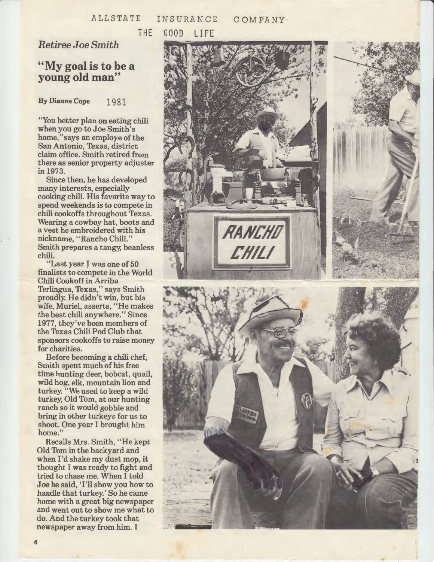## ALLSTATE INSURANCE **COMPANY**

THE GOOD LIFE

## *Retiree Joe Smith*

## **''My goal is to be a young old man''**

**By Dianne Cope** 1981

"You better plan on eating chili when you go to Joe Smith's home," says an employe of the San Antonio, Texas, district claim office. Smith retired from there as senior property adjuster in 1973.

Since then, he has developed many interests, especially cooking chili. His favorite way to spend weekends is to compete in chili cookoffs throughout Texas. Wearing a cowboy hat, boots and a vest he embroidered with his nickname, ''Rancho Chili.'' Smith prepares a tangy, beanless chili.

"Last year I was one of 50 finalists to compete in the World Chili Cookoff in Arriba Terlingua, Texas," says Smith proudly. He didn't win, but his wife, Muriel, asserts, ''He makes the best chili anywhere.'' Since 1977, they've been members of the Texas Chili Pod Club that sponsors cookoffs to raise money for charities.

Before becoming a chili chef, Smith spent much of his free time hunting deer, bobcat, quail, wild hog, elk, mountain lion and turkey. "We used to keep a wild turkey, Old Tom, at our hunting ranch so it would gobble and bring ih other turkeys for us to shoot. One year I brought him home.''

Recalls Mrs. Smith, "He kept Old Tom in the backyard and when I'd shake my dust mop, it thought I was ready to fight and tried to chase me. When I told Joe he said, 'I'll show you how to handle that turkey.' So he came home with a great big newspaper and went out to show me what to do. And the turkey took that newspaper away from him. I